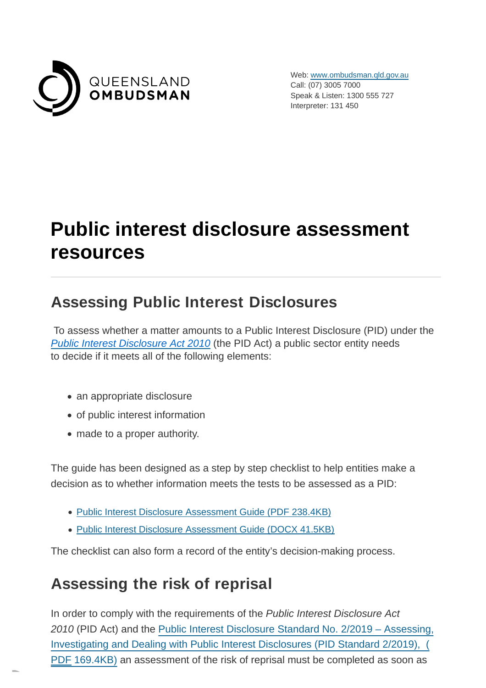

Web: [www.ombudsman.qld.gov.au](https://www.ombudsman.qld.gov.au/) Call: (07) 3005 7000 Speak & Listen: 1300 555 727 Interpreter: 131 450

# **Public interest disclosure assessment resources**

# **Assessing Public Interest Disclosures**

 To assess whether a matter amounts to a Public Interest Disclosure (PID) under the [Public Interest Disclosure Act 2010](https://www.legislation.qld.gov.au/LEGISLTN/CURRENT/P/PubIntDisA10.pdf) (the PID Act) a public sector entity needs to decide if it meets all of the following elements:

- an appropriate disclosure
- of public interest information
- made to a proper authority.

The guide has been designed as a step by step checklist to help entities make a decision as to whether information meets the tests to be assessed as a PID:

- [Public Interest Disclosure Assessment Guide \(PDF](https://www.ombudsman.qld.gov.au/ArticleDocuments/422/PID_Assessment_Guide_January_2019.PDF.aspx) 238.4KB)
- [Public Interest Disclosure Assessment Guide \(DOCX](https://www.ombudsman.qld.gov.au/ArticleDocuments/422/PID%20Assessment%20Guide%20January%202019.docx.aspx) 41.5KB)

The checklist can also form a record of the entity's decision-making process.

#### **Assessing the risk of reprisal**

In order to comply with the requirements of the Public Interest Disclosure Act 2010 (PID Act) and the Public Interest Disclosure Standard No. 2/2019 – Assessing, [Investigating and Dealing with Public Interest Disclosures \(PID Standard 2/2019\), \(](https://www.ombudsman.qld.gov.au/ArticleDocuments/212/PID%20Standard%202-2019%20Dec%202018.pdf.aspx) PDF 169.4KB) an assessment of the risk of reprisal must be completed as soon as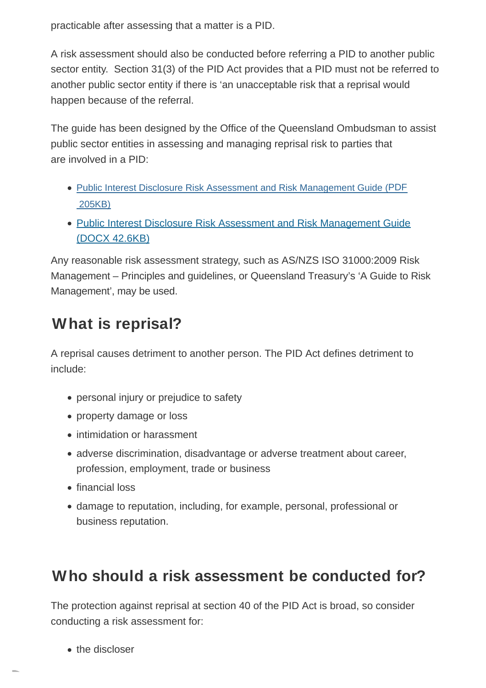practicable after assessing that a matter is a PID.

A risk assessment should also be conducted before referring a PID to another public sector entity. Section 31(3) of the PID Act provides that a PID must not be referred to another public sector entity if there is 'an unacceptable risk that a reprisal would happen because of the referral.

The guide has been designed by the Office of the Queensland Ombudsman to assist public sector entities in assessing and managing reprisal risk to parties that are involved in a PID:

- [Public Interest Disclosure Risk Assessment and Risk Management Guide \(PDF](https://www.ombudsman.qld.gov.au/ArticleDocuments/422/PID_Risk_Assessment_and_Risk_Management_Guide_January_2019.PDF.aspx) 205KB)
- [Public Interest Disclosure Risk Assessment and Risk Management Guide](https://www.ombudsman.qld.gov.au/ArticleDocuments/500/Queensland%20Ombudsman%20Public%20Interest%20Disclosure%20Risk%20Assessment%20and%20Risk%20Management%20Guide%20Word%20format.docx.aspx) (DOCX 42.6KB)

Any reasonable risk assessment strategy, such as AS/NZS ISO 31000:2009 Risk Management – Principles and guidelines, or Queensland Treasury's 'A Guide to Risk Management', may be used.

# **What is reprisal?**

A reprisal causes detriment to another person. The PID Act defines detriment to include:

- personal injury or prejudice to safety
- property damage or loss
- intimidation or harassment
- adverse discrimination, disadvantage or adverse treatment about career, profession, employment, trade or business
- financial loss
- damage to reputation, including, for example, personal, professional or business reputation.

# **Who should a risk assessment be conducted for?**

The protection against reprisal at section 40 of the PID Act is broad, so consider conducting a risk assessment for:

the discloser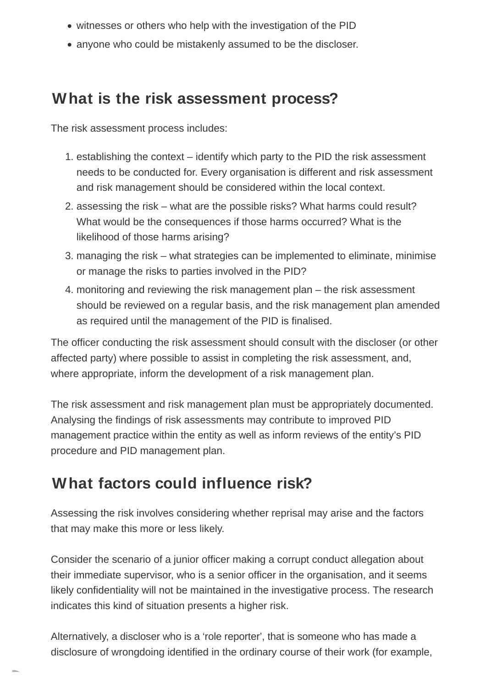- witnesses or others who help with the investigation of the PID
- anyone who could be mistakenly assumed to be the discloser.

#### **What is the risk assessment process?**

The risk assessment process includes:

- 1. establishing the context identify which party to the PID the risk assessment needs to be conducted for. Every organisation is different and risk assessment and risk management should be considered within the local context.
- 2. assessing the risk what are the possible risks? What harms could result? What would be the consequences if those harms occurred? What is the likelihood of those harms arising?
- 3. managing the risk what strategies can be implemented to eliminate, minimise or manage the risks to parties involved in the PID?
- 4. monitoring and reviewing the risk management plan the risk assessment should be reviewed on a regular basis, and the risk management plan amended as required until the management of the PID is finalised.

The officer conducting the risk assessment should consult with the discloser (or other affected party) where possible to assist in completing the risk assessment, and, where appropriate, inform the development of a risk management plan.

The risk assessment and risk management plan must be appropriately documented. Analysing the findings of risk assessments may contribute to improved PID management practice within the entity as well as inform reviews of the entity's PID procedure and PID management plan.

# **What factors could influence risk?**

Assessing the risk involves considering whether reprisal may arise and the factors that may make this more or less likely.

Consider the scenario of a junior officer making a corrupt conduct allegation about their immediate supervisor, who is a senior officer in the organisation, and it seems likely confidentiality will not be maintained in the investigative process. The research indicates this kind of situation presents a higher risk.

Alternatively, a discloser who is a 'role reporter', that is someone who has made a disclosure of wrongdoing identified in the ordinary course of their work (for example,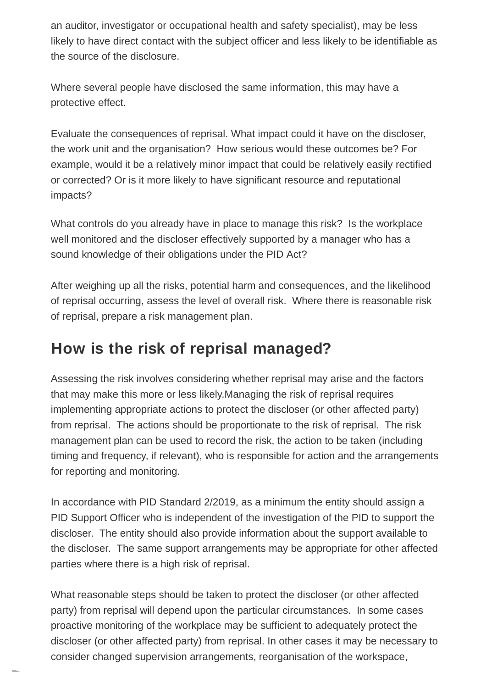an auditor, investigator or occupational health and safety specialist), may be less likely to have direct contact with the subject officer and less likely to be identifiable as the source of the disclosure.

Where several people have disclosed the same information, this may have a protective effect.

Evaluate the consequences of reprisal. What impact could it have on the discloser, the work unit and the organisation? How serious would these outcomes be? For example, would it be a relatively minor impact that could be relatively easily rectified or corrected? Or is it more likely to have significant resource and reputational impacts?

What controls do you already have in place to manage this risk? Is the workplace well monitored and the discloser effectively supported by a manager who has a sound knowledge of their obligations under the PID Act?

After weighing up all the risks, potential harm and consequences, and the likelihood of reprisal occurring, assess the level of overall risk. Where there is reasonable risk of reprisal, prepare a risk management plan.

#### **How is the risk of reprisal managed?**

Assessing the risk involves considering whether reprisal may arise and the factors that may make this more or less likely.Managing the risk of reprisal requires implementing appropriate actions to protect the discloser (or other affected party) from reprisal. The actions should be proportionate to the risk of reprisal. The risk management plan can be used to record the risk, the action to be taken (including timing and frequency, if relevant), who is responsible for action and the arrangements for reporting and monitoring.

In accordance with PID Standard 2/2019, as a minimum the entity should assign a PID Support Officer who is independent of the investigation of the PID to support the discloser. The entity should also provide information about the support available to the discloser. The same support arrangements may be appropriate for other affected parties where there is a high risk of reprisal.

What reasonable steps should be taken to protect the discloser (or other affected party) from reprisal will depend upon the particular circumstances. In some cases proactive monitoring of the workplace may be sufficient to adequately protect the discloser (or other affected party) from reprisal. In other cases it may be necessary to consider changed supervision arrangements, reorganisation of the workspace,